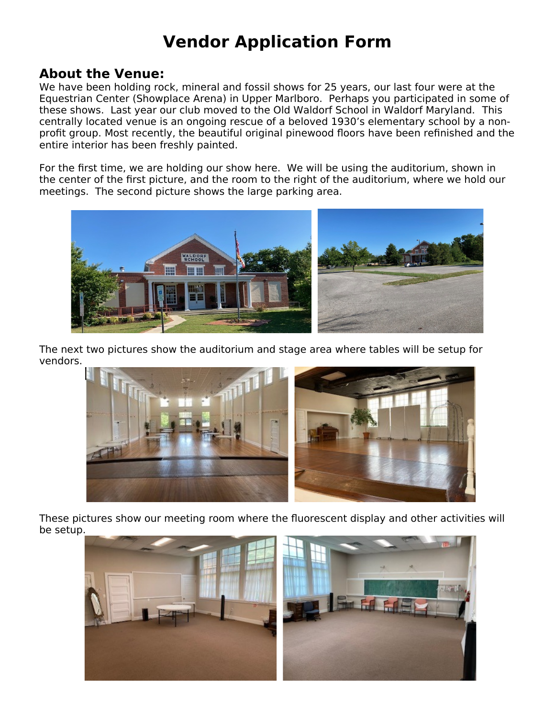## **Vendor Application Form**

#### **About the Venue:**

We have been holding rock, mineral and fossil shows for 25 years, our last four were at the Equestrian Center (Showplace Arena) in Upper Marlboro. Perhaps you participated in some of these shows. Last year our club moved to the Old Waldorf School in Waldorf Maryland. This centrally located venue is an ongoing rescue of a beloved 1930's elementary school by a nonprofit group. Most recently, the beautiful original pinewood floors have been refinished and the entire interior has been freshly painted.

For the first time, we are holding our show here. We will be using the auditorium, shown in the center of the first picture, and the room to the right of the auditorium, where we hold our meetings. The second picture shows the large parking area.



The next two pictures show the auditorium and stage area where tables will be setup for vendors.



These pictures show our meeting room where the fluorescent display and other activities will be setup.

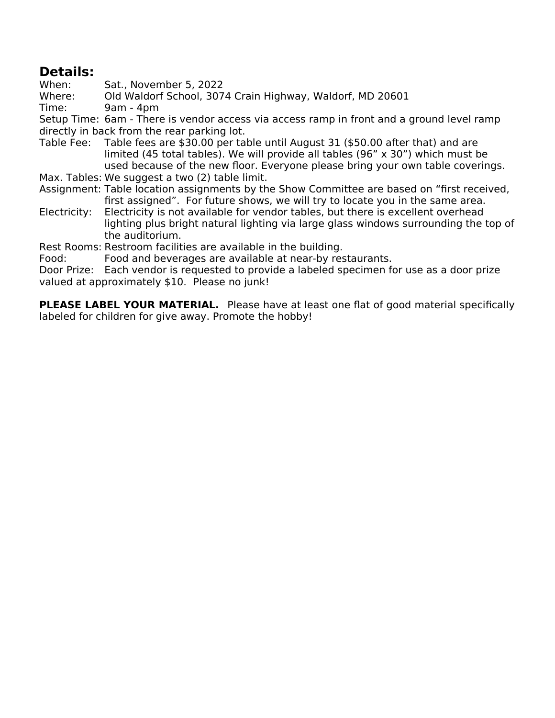### **Details:**

When: Sat., November 5, 2022

Where: Old Waldorf School, 3074 Crain Highway, Waldorf, MD 20601

Time: 9am - 4pm

Setup Time: 6am - There is vendor access via access ramp in front and a ground level ramp directly in back from the rear parking lot.

Table Fee: Table fees are \$30.00 per table until August 31 (\$50.00 after that) and are limited (45 total tables). We will provide all tables (96" x 30") which must be used because of the new floor. Everyone please bring your own table coverings.

Max. Tables: We suggest a two (2) table limit.

- Assignment: Table location assignments by the Show Committee are based on "first received, first assigned". For future shows, we will try to locate you in the same area.
- Electricity: Electricity is not available for vendor tables, but there is excellent overhead lighting plus bright natural lighting via large glass windows surrounding the top of the auditorium.

Rest Rooms: Restroom facilities are available in the building.

Food: Food and beverages are available at near-by restaurants.

Door Prize: Each vendor is requested to provide a labeled specimen for use as a door prize valued at approximately \$10. Please no junk!

**PLEASE LABEL YOUR MATERIAL.** Please have at least one flat of good material specifically labeled for children for give away. Promote the hobby!